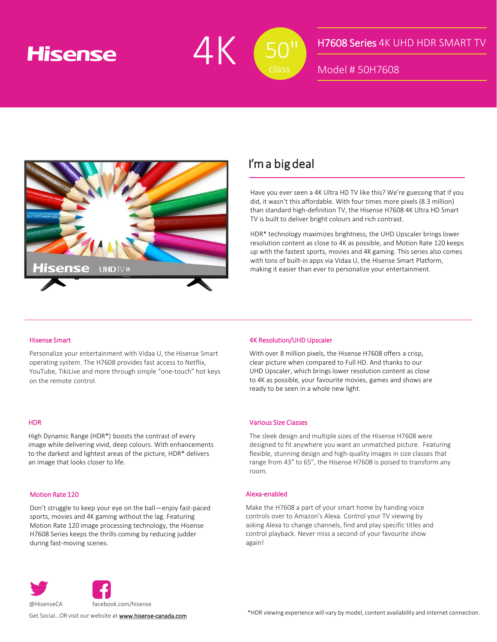## **Hisense**



### H7608 Series 4K UHD HDR SMART TV

Model # 50H7608



### I'm a big deal

Have you ever seen a 4K Ultra HD TV like this? We're guessing that if you did, it wasn't this affordable. With four times more pixels (8.3 million) than standard high-definition TV, the Hisense H7608 4K Ultra HD Smart TV is built to deliver bright colours and rich contrast.

HDR\* technology maximizes brightness, the UHD Upscaler brings lower resolution content as close to 4K as possible, and Motion Rate 120 keeps up with the fastest sports, movies and 4K gaming. This series also comes with tons of built-in apps via Vidaa U, the Hisense Smart Platform, making it easier than ever to personalize your entertainment.

#### Hisense Smart

Personalize your entertainment with Vidaa U, the Hisense Smart operating system. The H7608 provides fast access to Netflix, YouTube, TikiLive and more through simple "one-touch" hot keys on the remote control.

#### **HDR**

High Dynamic Range (HDR\*) boosts the contrast of every image while delivering vivid, deep colours. With enhancements to the darkest and lightest areas of the picture, HDR\* delivers an image that looks closer to life.

#### Motion Rate 120

Don't struggle to keep your eye on the ball—enjoy fast-paced sports, movies and 4K gaming without the lag. Featuring Motion Rate 120 image processing technology, the Hisense H7608 Series keeps the thrills coming by reducing judder during fast-moving scenes.

#### 4K Resolution/UHD Upscaler

With over 8 million pixels, the Hisense H7608 offers a crisp, clear picture when compared to Full HD. And thanks to our UHD Upscaler, which brings lower resolution content as close to 4K as possible, your favourite movies, games and shows are ready to be seen in a whole new light.

#### Various Size Classes

The sleek design and multiple sizes of the Hisense H7608 were designed to fit anywhere you want an unmatched picture. Featuring flexible, stunning design and high-quality images in size classes that range from 43" to 65", the Hisense H7608 is poised to transform any room.

#### Alexa-enabled

Make the H7608 a part of your smart home by handing voice controls over to Amazon's Alexa. Control your TV viewing by asking Alexa to change channels, find and play specific titles and control playback. Never miss a second of your favourite show again!



Get Social... OR visit our website at **[www.hisense-canada.com](http://www.hisense-usa.com/)**